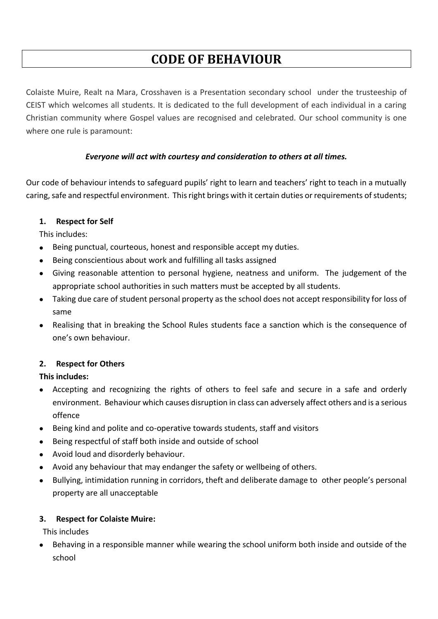# **CODE OF BEHAVIOUR**

Colaiste Muire, Realt na Mara, Crosshaven is a Presentation secondary school under the trusteeship of CEIST which welcomes all students. It is dedicated to the full development of each individual in a caring Christian community where Gospel values are recognised and celebrated. Our school community is one where one rule is paramount:

# *Everyone will act with courtesy and consideration to others at all times.*

Our code of behaviour intends to safeguard pupils' right to learn and teachers' right to teach in a mutually caring, safe and respectful environment. This right brings with it certain duties or requirements of students;

# **1. Respect for Self**

This includes:

- Being punctual, courteous, honest and responsible accept my duties.
- Being conscientious about work and fulfilling all tasks assigned
- Giving reasonable attention to personal hygiene, neatness and uniform. The judgement of the appropriate school authorities in such matters must be accepted by all students.
- Taking due care of student personal property as the school does not accept responsibility for loss of same
- Realising that in breaking the School Rules students face a sanction which is the consequence of one's own behaviour.

# **2. Respect for Others**

# **This includes:**

- Accepting and recognizing the rights of others to feel safe and secure in a safe and orderly environment. Behaviour which causes disruption in class can adversely affect others and is a serious offence
- Being kind and polite and co-operative towards students, staff and visitors
- Being respectful of staff both inside and outside of school
- Avoid loud and disorderly behaviour.
- Avoid any behaviour that may endanger the safety or wellbeing of others.
- Bullying, intimidation running in corridors, theft and deliberate damage to other people's personal property are all unacceptable

# **3. Respect for Colaiste Muire:**

This includes

 Behaving in a responsible manner while wearing the school uniform both inside and outside of the school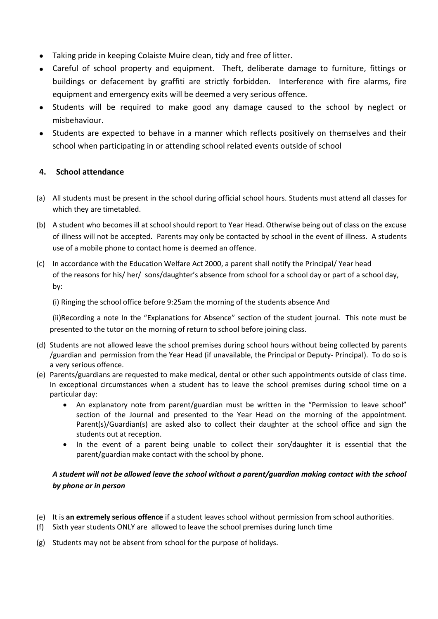- Taking pride in keeping Colaiste Muire clean, tidy and free of litter.
- Careful of school property and equipment. Theft, deliberate damage to furniture, fittings or buildings or defacement by graffiti are strictly forbidden. Interference with fire alarms, fire equipment and emergency exits will be deemed a very serious offence.
- Students will be required to make good any damage caused to the school by neglect or misbehaviour.
- Students are expected to behave in a manner which reflects positively on themselves and their school when participating in or attending school related events outside of school

# **4. School attendance**

- (a) All students must be present in the school during official school hours. Students must attend all classes for which they are timetabled.
- (b) A student who becomes ill at school should report to Year Head. Otherwise being out of class on the excuse of illness will not be accepted. Parents may only be contacted by school in the event of illness. A students use of a mobile phone to contact home is deemed an offence.
- (c) In accordance with the Education Welfare Act 2000, a parent shall notify the Principal/ Year head of the reasons for his/ her/ sons/daughter's absence from school for a school day or part of a school day, by:

(i) Ringing the school office before 9:25am the morning of the students absence And

(ii)Recording a note In the "Explanations for Absence" section of the student journal. This note must be presented to the tutor on the morning of return to school before joining class.

- (d) Students are not allowed leave the school premises during school hours without being collected by parents /guardian and permission from the Year Head (if unavailable, the Principal or Deputy- Principal). To do so is a very serious offence.
- (e) Parents/guardians are requested to make medical, dental or other such appointments outside of class time. In exceptional circumstances when a student has to leave the school premises during school time on a particular day:
	- An explanatory note from parent/guardian must be written in the "Permission to leave school" section of the Journal and presented to the Year Head on the morning of the appointment. Parent(s)/Guardian(s) are asked also to collect their daughter at the school office and sign the students out at reception.
	- In the event of a parent being unable to collect their son/daughter it is essential that the parent/guardian make contact with the school by phone.

# *A student will not be allowed leave the school without a parent/guardian making contact with the school by phone or in person*

- (e) It is **an extremely serious offence** if a student leaves school without permission from school authorities.
- (f) Sixth year students ONLY are allowed to leave the school premises during lunch time
- (g) Students may not be absent from school for the purpose of holidays.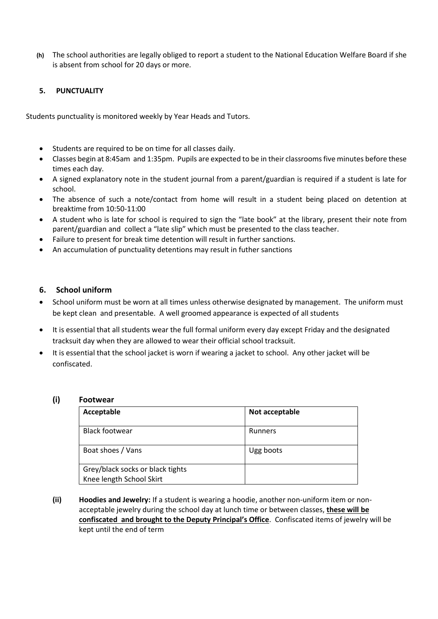**(h)** The school authorities are legally obliged to report a student to the National Education Welfare Board if she is absent from school for 20 days or more.

## **5. PUNCTUALITY**

Students punctuality is monitored weekly by Year Heads and Tutors.

- Students are required to be on time for all classes daily.
- Classes begin at 8:45am and 1:35pm. Pupils are expected to be in their classrooms five minutes before these times each day.
- A signed explanatory note in the student journal from a parent/guardian is required if a student is late for school.
- The absence of such a note/contact from home will result in a student being placed on detention at breaktime from 10:50-11:00
- A student who is late for school is required to sign the "late book" at the library, present their note from parent/guardian and collect a "late slip" which must be presented to the class teacher.
- Failure to present for break time detention will result in further sanctions.
- An accumulation of punctuality detentions may result in futher sanctions

## **6. School uniform**

- School uniform must be worn at all times unless otherwise designated by management. The uniform must be kept clean and presentable. A well groomed appearance is expected of all students
- It is essential that all students wear the full formal uniform every day except Friday and the designated tracksuit day when they are allowed to wear their official school tracksuit.
- It is essential that the school jacket is worn if wearing a jacket to school. Any other jacket will be confiscated.

## **(i) Footwear**

| Acceptable                                                   | Not acceptable |
|--------------------------------------------------------------|----------------|
| <b>Black footwear</b>                                        | Runners        |
| Boat shoes / Vans                                            | Ugg boots      |
| Grey/black socks or black tights<br>Knee length School Skirt |                |

**(ii) Hoodies and Jewelry:** If a student is wearing a hoodie, another non-uniform item or nonacceptable jewelry during the school day at lunch time or between classes, **these will be confiscated and brought to the Deputy Principal's Office**. Confiscated items of jewelry will be kept until the end of term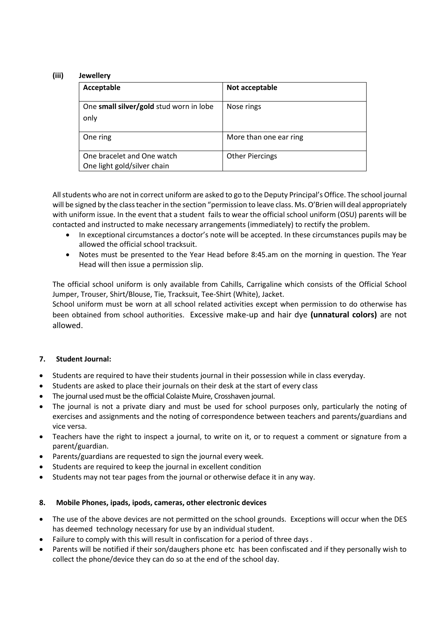## **(iii) Jewellery**

| Acceptable                                                | Not acceptable         |
|-----------------------------------------------------------|------------------------|
| One small silver/gold stud worn in lobe<br>only           | Nose rings             |
| One ring                                                  | More than one ear ring |
| One bracelet and One watch<br>One light gold/silver chain | <b>Other Piercings</b> |

All students who are not in correct uniform are asked to go to the Deputy Principal's Office. The school journal will be signed by the class teacher in the section "permission to leave class. Ms. O'Brien will deal appropriately with uniform issue. In the event that a student fails to wear the official school uniform (OSU) parents will be contacted and instructed to make necessary arrangements (immediately) to rectify the problem.

- In exceptional circumstances a doctor's note will be accepted. In these circumstances pupils may be allowed the official school tracksuit.
- Notes must be presented to the Year Head before 8:45.am on the morning in question. The Year Head will then issue a permission slip.

The official school uniform is only available from Cahills, Carrigaline which consists of the Official School Jumper, Trouser, Shirt/Blouse, Tie, Tracksuit, Tee-Shirt (White), Jacket.

School uniform must be worn at all school related activities except when permission to do otherwise has been obtained from school authorities. Excessive make-up and hair dye **(unnatural colors)** are not allowed.

## **7. Student Journal:**

- Students are required to have their students journal in their possession while in class everyday.
- Students are asked to place their journals on their desk at the start of every class
- The journal used must be the official Colaiste Muire, Crosshaven journal.
- The journal is not a private diary and must be used for school purposes only, particularly the noting of exercises and assignments and the noting of correspondence between teachers and parents/guardians and vice versa.
- Teachers have the right to inspect a journal, to write on it, or to request a comment or signature from a parent/guardian.
- Parents/guardians are requested to sign the journal every week.
- Students are required to keep the journal in excellent condition
- Students may not tear pages from the journal or otherwise deface it in any way.

#### **8. Mobile Phones, ipads, ipods, cameras, other electronic devices**

- The use of the above devices are not permitted on the school grounds. Exceptions will occur when the DES has deemed technology necessary for use by an individual student.
- Failure to comply with this will result in confiscation for a period of three days .
- Parents will be notified if their son/daughers phone etc has been confiscated and if they personally wish to collect the phone/device they can do so at the end of the school day.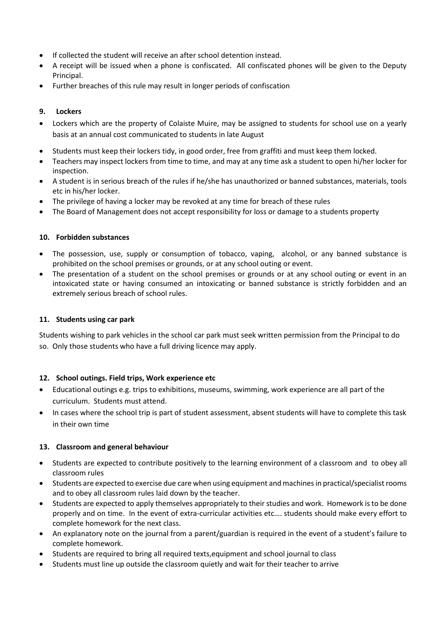- If collected the student will receive an after school detention instead.
- A receipt will be issued when a phone is confiscated. All confiscated phones will be given to the Deputy Principal.
- Further breaches of this rule may result in longer periods of confiscation

## **9. Lockers**

- Lockers which are the property of Colaiste Muire, may be assigned to students for school use on a yearly basis at an annual cost communicated to students in late August
- Students must keep their lockers tidy, in good order, free from graffiti and must keep them locked.
- Teachers may inspect lockers from time to time, and may at any time ask a student to open hi/her locker for inspection.
- A student is in serious breach of the rules if he/she has unauthorized or banned substances, materials, tools etc in his/her locker.
- The privilege of having a locker may be revoked at any time for breach of these rules
- The Board of Management does not accept responsibility for loss or damage to a students property

## **10. Forbidden substances**

- The possession, use, supply or consumption of tobacco, vaping, alcohol, or any banned substance is prohibited on the school premises or grounds, or at any school outing or event.
- The presentation of a student on the school premises or grounds or at any school outing or event in an intoxicated state or having consumed an intoxicating or banned substance is strictly forbidden and an extremely serious breach of school rules.

## **11. Students using car park**

Students wishing to park vehicles in the school car park must seek written permission from the Principal to do so. Only those students who have a full driving licence may apply.

## **12. School outings. Field trips, Work experience etc**

- Educational outings e.g. trips to exhibitions, museums, swimming, work experience are all part of the curriculum. Students must attend.
- In cases where the school trip is part of student assessment, absent students will have to complete this task in their own time

## **13. Classroom and general behaviour**

- Students are expected to contribute positively to the learning environment of a classroom and to obey all classroom rules
- Students are expected to exercise due care when using equipment and machines in practical/specialist rooms and to obey all classroom rules laid down by the teacher.
- Students are expected to apply themselves appropriately to their studies and work. Homework is to be done properly and on time. In the event of extra-curricular activities etc…. students should make every effort to complete homework for the next class.
- An explanatory note on the journal from a parent/guardian is required in the event of a student's failure to complete homework.
- Students are required to bring all required texts,equipment and school journal to class
- Students must line up outside the classroom quietly and wait for their teacher to arrive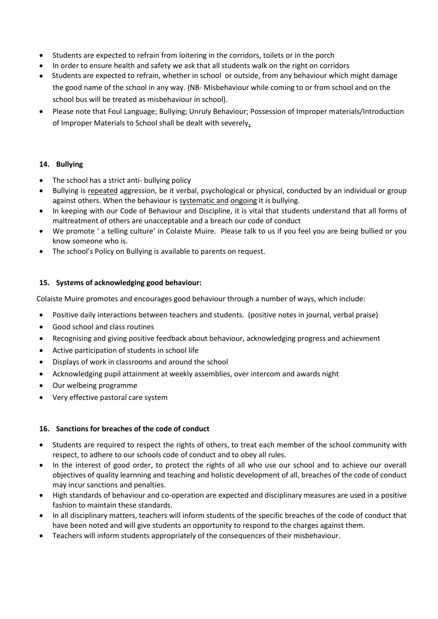- Students are expected to refrain from loitering in the corridors, toilets or in the porch
- In order to ensure health and safety we ask that all students walk on the right on corridors
- Students are expected to refrain, whether in school or outside, from any behaviour which might damage the good name of the school in any way. (NB- Misbehaviour while coming to or from school and on the school bus will be treated as misbehaviour in school).
- Please note that Foul Language; Bullying; Unruly Behaviour; Possession of Improper materials/Introduction of Improper Materials to School shall be dealt with severely**.**

#### **14. Bullying**

- The school has a strict anti- bullying policy
- Bullying is repeated aggression, be it verbal, psychological or physical, conducted by an individual or group against others. When the behaviour is systematic and ongoing it is bullying.
- In keeping with our Code of Behaviour and Discipline, it is vital that students understand that all forms of maltreatment of others are unacceptable and a breach our code of conduct
- We promote ' a telling culture' in Colaiste Muire. Please talk to us if you feel you are being bullied or you know someone who is.
- The school's Policy on Bullying is available to parents on request.

#### **15. Systems of acknowledging good behaviour:**

Colaiste Muire promotes and encourages good behaviour through a number of ways, which include:

- Positive daily interactions between teachers and students. (positive notes in journal, verbal praise)
- Good school and class routines
- Recognising and giving positive feedback about behaviour, acknowledging progress and achievment
- Active participation of students in school life
- Displays of work in classrooms and around the school
- Acknowledging pupil attainment at weekly assemblies, over intercom and awards night
- Our welbeing programme
- Very effective pastoral care system

#### **16. Sanctions for breaches of the code of conduct**

- Students are required to respect the rights of others, to treat each member of the school community with respect, to adhere to our schools code of conduct and to obey all rules.
- In the interest of good order, to protect the rights of all who use our school and to achieve our overall objectives of quality learnning and teaching and holistic development of all, breaches of the code of conduct may incur sanctions and penalties.
- High standards of behaviour and co-operation are expected and disciplinary measures are used in a positive fashion to maintain these standards.
- In all disciplinary matters, teachers will inform students of the specific breaches of the code of conduct that have been noted and will give students an opportunity to respond to the charges against them.
- Teachers will inform students appropriately of the consequences of their misbehaviour.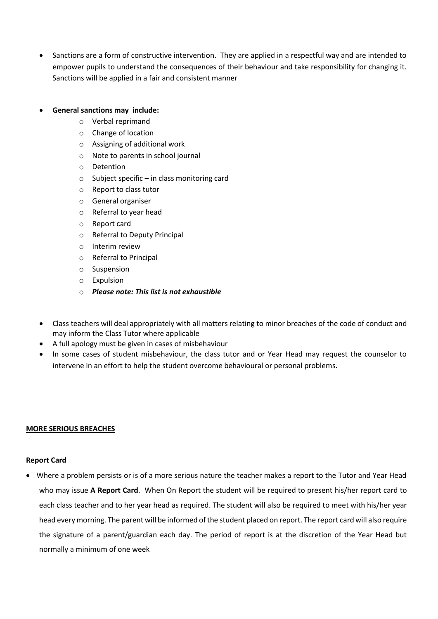Sanctions are a form of constructive intervention. They are applied in a respectful way and are intended to empower pupils to understand the consequences of their behaviour and take responsibility for changing it. Sanctions will be applied in a fair and consistent manner

#### **General sanctions may include:**

- o Verbal reprimand
- o Change of location
- o Assigning of additional work
- o Note to parents in school journal
- o Detention
- $\circ$  Subject specific in class monitoring card
- o Report to class tutor
- o General organiser
- o Referral to year head
- o Report card
- o Referral to Deputy Principal
- o Interim review
- o Referral to Principal
- o Suspension
- o Expulsion
- o *Please note: This list is not exhaustible*
- Class teachers will deal appropriately with all matters relating to minor breaches of the code of conduct and may inform the Class Tutor where applicable
- A full apology must be given in cases of misbehaviour
- In some cases of student misbehaviour, the class tutor and or Year Head may request the counselor to intervene in an effort to help the student overcome behavioural or personal problems.

#### **MORE SERIOUS BREACHES**

#### **Report Card**

 Where a problem persists or is of a more serious nature the teacher makes a report to the Tutor and Year Head who may issue **A Report Card**. When On Report the student will be required to present his/her report card to each class teacher and to her year head as required. The student will also be required to meet with his/her year head every morning. The parent will be informed of the student placed on report. The report card will also require the signature of a parent/guardian each day. The period of report is at the discretion of the Year Head but normally a minimum of one week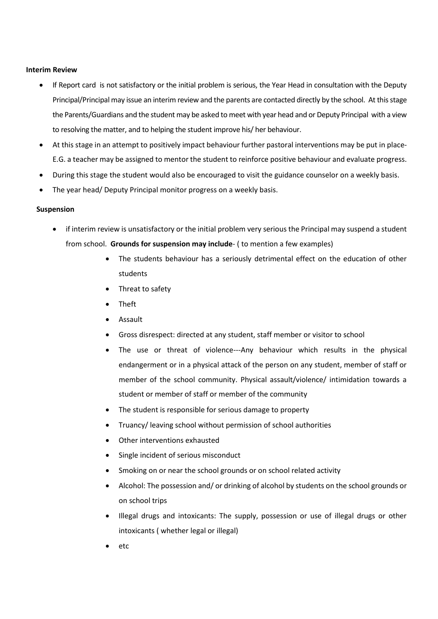#### **Interim Review**

- If Report card is not satisfactory or the initial problem is serious, the Year Head in consultation with the Deputy Principal/Principal may issue an interim review and the parents are contacted directly by the school. At this stage the Parents/Guardians and the student may be asked to meet with year head and or Deputy Principal with a view to resolving the matter, and to helping the student improve his/ her behaviour.
- At this stage in an attempt to positively impact behaviour further pastoral interventions may be put in place-E.G. a teacher may be assigned to mentor the student to reinforce positive behaviour and evaluate progress.
- During this stage the student would also be encouraged to visit the guidance counselor on a weekly basis.
- The year head/ Deputy Principal monitor progress on a weekly basis.

#### **Suspension**

- if interim review is unsatisfactory or the initial problem very serious the Principal may suspend a student from school. **Grounds for suspension may include**- ( to mention a few examples)
	- The students behaviour has a seriously detrimental effect on the education of other students
	- Threat to safety
	- Theft
	- Assault
	- Gross disrespect: directed at any student, staff member or visitor to school
	- The use or threat of violence---Any behaviour which results in the physical endangerment or in a physical attack of the person on any student, member of staff or member of the school community. Physical assault/violence/ intimidation towards a student or member of staff or member of the community
	- The student is responsible for serious damage to property
	- Truancy/ leaving school without permission of school authorities
	- Other interventions exhausted
	- Single incident of serious misconduct
	- Smoking on or near the school grounds or on school related activity
	- Alcohol: The possession and/ or drinking of alcohol by students on the school grounds or on school trips
	- Illegal drugs and intoxicants: The supply, possession or use of illegal drugs or other intoxicants ( whether legal or illegal)
	- etc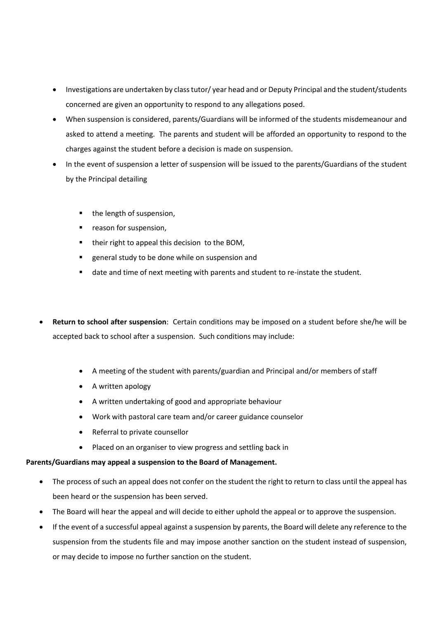- Investigations are undertaken by class tutor/ year head and or Deputy Principal and the student/students concerned are given an opportunity to respond to any allegations posed.
- When suspension is considered, parents/Guardians will be informed of the students misdemeanour and asked to attend a meeting. The parents and student will be afforded an opportunity to respond to the charges against the student before a decision is made on suspension.
- In the event of suspension a letter of suspension will be issued to the parents/Guardians of the student by the Principal detailing
	- the length of suspension,
	- **reason for suspension,**
	- **their right to appeal this decision to the BOM,**
	- general study to be done while on suspension and
	- date and time of next meeting with parents and student to re-instate the student.
- **Return to school after suspension**: Certain conditions may be imposed on a student before she/he will be accepted back to school after a suspension. Such conditions may include:
	- A meeting of the student with parents/guardian and Principal and/or members of staff
	- A written apology
	- A written undertaking of good and appropriate behaviour
	- Work with pastoral care team and/or career guidance counselor
	- Referral to private counsellor
	- Placed on an organiser to view progress and settling back in

## **Parents/Guardians may appeal a suspension to the Board of Management.**

- The process of such an appeal does not confer on the student the right to return to class until the appeal has been heard or the suspension has been served.
- The Board will hear the appeal and will decide to either uphold the appeal or to approve the suspension.
- If the event of a successful appeal against a suspension by parents, the Board will delete any reference to the suspension from the students file and may impose another sanction on the student instead of suspension, or may decide to impose no further sanction on the student.